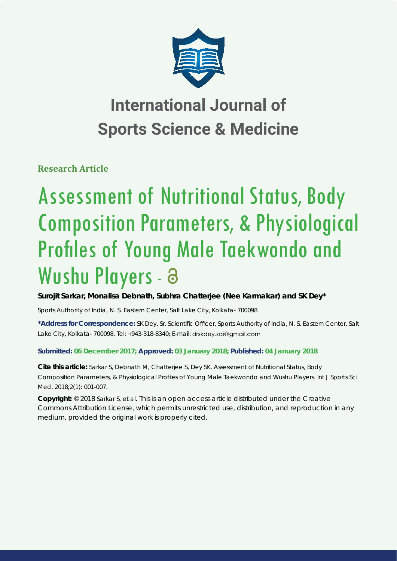

## **International Journal of Sports Science & Medicine**

**Research Article**

# Assessment of Nutritional Status, Body Composition Parameters, & Physiological Profiles of Young Male Taekwondo and Wushu Players - a

**Surojit Sarkar, Monalisa Debnath, Subhra Chatterjee (Nee Karmakar) and SK Dey\***

*Sports Authority of India, N. S. Eastern Center, Salt Lake City, Kolkata- 700098*

\*Address for Correspondence: SK Dey, Sr. Scientific Officer, Sports Authority of India, N. S. Eastern Center, Salt Lake City, Kolkata- 700098, Tel: +943-318-8340; E-mail: drskdey.sai@gmail.com

### **Submitted: 06 December 2017; Approved: 03 January 2018; Published: 04 January 2018**

**Cite this article:** Sarkar S, Debnath M, Chatterjee S, Dey SK. Assessment of Nutritional Status, Body Composition Parameters, & Physiological Profiles of Young Male Taekwondo and Wushu Players. Int J Sports Sci Med. 2018;2(1): 001-007.

**Copyright:** © 2018 Sarkar S, et al. This is an open access article distributed under the Creative Commons Attribution License, which permits unrestricted use, distribution, and reproduction in any medium, provided the original work is properly cited.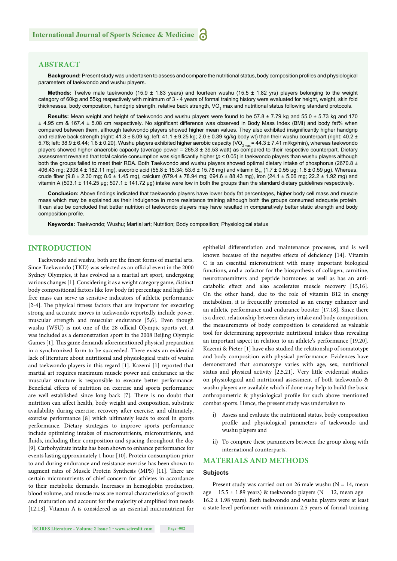#### **ABSTRACT**

Background: Present study was undertaken to assess and compare the nutritional status, body composition profiles and physiological parameters of taekwondo and wushu players.

**Methods:** Twelve male taekwondo (15.9 ± 1.83 years) and fourteen wushu (15.5 ± 1.82 yrs) players belonging to the weight category of 60kg and 55kg respectively with minimum of 3 - 4 years of formal training history were evaluated for height, weight, skin fold thicknesses, body composition, handgrip strength, relative back strength, VO<sub>2</sub> max and nutritional status following standard protocols.

**Results:** Mean weight and height of taekwondo and wushu players were found to be 57.8 ± 7.79 kg and 55.0 ± 5.73 kg and 170  $\pm$  4.95 cm & 167.4  $\pm$  5.08 cm respectively. No significant difference was observed in Body Mass Index (BMI) and body fat% when compared between them, although taekwondo players showed higher mean values. They also exhibited insignificantly higher handgrip and relative back strength (right:  $41.3 \pm 8.09$  kg; left:  $41.1 \pm 9.25$  kg;  $2.0 \pm 0.39$  kg/kg body wt) than their wushu counterpart (right:  $40.2 \pm 0.39$ 5.76; left: 38.9  $\pm$  6.44; 1.8  $\pm$  0.20). Wushu players exhibited higher aerobic capacity (VO<sub>2 max</sub> = 44.3  $\pm$  7.41 ml/kg/min), whereas taekwondo players showed higher anaerobic capacity (average power = 265.3 ± 39.53 watt) as compared to their respective counterpart. Dietary assessment revealed that total calorie consumption was significantly higher ( $p < 0.05$ ) in taekwondo players than wushu players although both the groups failed to meet their RDA. Both Taekwondo and wushu players showed optimal dietary intake of phosphorus (2670.8 ±  $406.43$  mg;  $2308.4 \pm 182.11$  mg), ascorbic acid  $(55.8 \pm 15.34; 53.6 \pm 15.78$  mg) and vitamin B<sub>12</sub>  $(1.7 \pm 0.55$  µg;  $1.8 \pm 0.59$  µg). Whereas, crude fiber (9.8 ± 2.30 mg; 8.6 ± 1.45 mg), calcium (679.4 ± 78.94 mg; 694.6 ± 88.43 mg), iron (24.1 ± 5.06 mg; 22.2 ± 1.92 mg) and vitamin A (503.1 ± 114.25 μg; 507.1 ± 141.72 μg) intake were low in both the groups than the standard dietary guidelines respectively.

Conclusion: Above findings indicated that taekwondo players have lower body fat percentages, higher body cell mass and muscle mass which may be explained as their indulgence in more resistance training although both the groups consumed adequate protein. It can also be concluded that better nutrition of taekwondo players may have resulted in comparatively better static strength and body composition profile.

**Keywords:** Taekwondo; Wushu; Martial art; Nutrition; Body composition; Physiological status

#### **INTRODUCTION**

Taekwondo and wushu, both are the finest forms of martial arts. Since Taekwondo (TKD) was selected as an official event in the 2000 Sydney Olympics, it has evolved as a martial art sport, undergoing various changes [1]. Considering it as a weight category game, distinct body compositional factors like low body fat percentage and high fatfree mass can serve as sensitive indicators of athletic performance [2-4]. The physical fitness factors that are important for executing strong and accurate moves in taekwondo reportedly include power, muscular strength and muscular endurance [5,6]. Even though wushu (WSU) is not one of the 28 official Olympic sports yet, it was included as a demonstration sport in the 2008 Beijing Olympic Games [1]. This game demands aforementioned physical preparation in a synchronized form to be succeeded. There exists an evidential lack of literature about nutritional and physiological traits of wushu and taekwondo players in this regard [1]. Kazemi [1] reported that martial art requires maximum muscle power and endurance as the muscular structure is responsible to execute better performance. Beneficial effects of nutrition on exercise and sports performance are well established since long back [7]. There is no doubt that nutrition can affect health, body weight and composition, substrate availability during exercise, recovery after exercise, and ultimately, exercise performance [8] which ultimately leads to excel in sports performance. Dietary strategies to improve sports performance include optimizing intakes of macronutrients, micronutrients, and fluids, including their composition and spacing throughout the day [9]. Carbohydrate intake has been shown to enhance performance for events lasting approximately 1 hour [10]. Protein consumption prior to and during endurance and resistance exercise has been shown to augment rates of Muscle Protein Synthesis (MPS) [11]. There are certain micronutrients of chief concern for athletes in accordance to their metabolic demands. Increases in hemoglobin production, blood volume, and muscle mass are normal characteristics of growth and maturation and account for the majority of amplified iron needs [12,13]. Vitamin A is considered as an essential micronutrient for

epithelial differentiation and maintenance processes, and is well known because of the negative effects of deficiency [14]. Vitamin C is an essential micronutrient with many important biological functions, and a cofactor for the biosynthesis of collagen, carnitine, neurotransmitters and peptide hormones as well as has an anticatabolic effect and also accelerates muscle recovery [15,16]. On the other hand, due to the role of vitamin B12 in energy metabolism, it is frequently promoted as an energy enhancer and an athletic performance and endurance booster [17,18]. Since there is a direct relationship between dietary intake and body composition, the measurements of body composition is considered as valuable tool for determining appropriate nutritional intakes thus revealing an important aspect in relation to an athlete's performance [19,20]. Kazemi & Pieter [1] have also studied the relationship of somatotype and body composition with physical performance. Evidences have demonstrated that somatotype varies with age, sex, nutritional status and physical activity [2,5,21]. Very little evidential studies on physiological and nutritional assessment of both taekwondo & wushu players are available which if done may help to build the basic anthropometric & physiological profile for such above mentioned combat sports. Hence, the present study was undertaken to

- i) Assess and evaluate the nutritional status, body composition profile and physiological parameters of taekwondo and wushu players and
- ii) To compare these parameters between the group along with international counterparts.

#### **MATERIALS AND METHODS**

#### **Subjects**

Present study was carried out on 26 male wushu ( $N = 14$ , mean age =  $15.5 \pm 1.89$  years) & taekwondo players (N = 12, mean age =  $16.2 \pm 1.98$  years). Both taekwondo and wushu players were at least a state level performer with minimum 2.5 years of formal training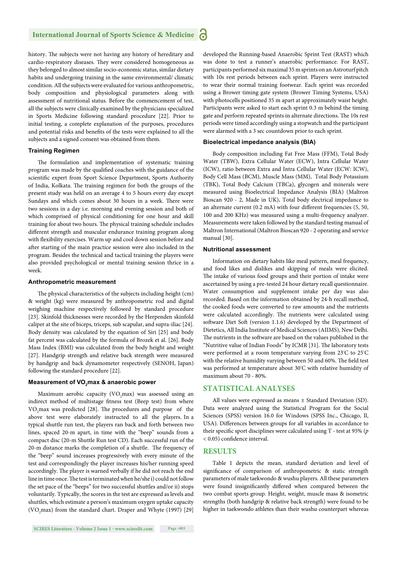history. The subjects were not having any history of hereditary and cardio-respiratory diseases. They were considered homogeneous as they belonged to almost similar socio-economic status, similar dietary habits and undergoing training in the same environmental/ climatic condition. All the subjects were evaluated for various anthropometric, body composition and physiological parameters along with assessment of nutritional status. Before the commencement of test, all the subjects were clinically examined by the physicians specialized in Sports Medicine following standard procedure [22]. Prior to initial testing, a complete explanation of the purposes, procedures and potential risks and benefits of the tests were explained to all the subjects and a signed consent was obtained from them.

#### **Training Regimen**

The formulation and implementation of systematic training program was made by the qualified coaches with the guidance of the scientific expert from Sport Science Department, Sports Authority of India, Kolkata. The training regimen for both the groups of the present study was held on an average 4 to 5 hours every day except Sundays and which comes about 30 hours in a week. There were two sessions in a day i.e. morning and evening session and both of which comprised of physical conditioning for one hour and skill training for about two hours. The physical training schedule includes different strength and muscular endurance training program along with flexibility exercises. Warm up and cool down session before and after starting of the main practice session were also included in the program. Besides the technical and tactical training the players were also provided psychological or mental training session thrice in a week.

#### **Anthropometric measurement**

The physical characteristics of the subjects including height (cm) & weight (kg) were measured by anthropometric rod and digital weighing machine respectively followed by standard procedure [23]. Skinfold thicknesses were recorded by the Herpenden skinfold caliper at the site of biceps, triceps, sub scapular, and supra-iliac [24]. Body density was calculated by the equation of Siri [25] and body fat percent was calculated by the formula of Brozek et al. [26]. Body Mass Index (BMI) was calculated from the body height and weight [27]. Handgrip strength and relative back strength were measured by handgrip and back dynamometer respectively (SENOH, Japan) following the standard procedure [22].

#### **Measurement of VO<sub>2</sub>max & anaerobic power**

Maximum aerobic capacity  $(\rm VO_{2}max)$  was assessed using an indirect method of multistage fitness test (Beep test) from where VO<sub>2</sub> max was predicted [28]. The procedures and purpose of the above test were elaborately instructed to all the players. In a typical shuttle run test, the players ran back and forth between two lines, spaced 20-m apart, in time with the "beep" sounds from a compact disc (20-m Shuttle Run test CD). Each successful run of the 20-m distance marks the completion of a shuttle. The frequency of the "beep" sound increases progressively with every minute of the test and correspondingly the player increases his/her running speed accordingly. The player is warned verbally if he did not reach the end line in time once. The test is terminated when he/she i) could not follow the set pace of the "beeps" for two successful shuttles and/or ii) stops voluntarily. Typically, the scores in the test are expressed as levels and shuttles, which estimate a person's maximum oxygen uptake capacity (VO<sub>2</sub>max) from the standard chart. Draper and Whyte (1997) [29]

**SCIRES Literature - Volume 2 Issue 1 - www.scireslit.com Page -003**

developed the Running-based Anaerobic Sprint Test (RAST) which was done to test a runner's anaerobic performance. For RAST, participants performed six maximal 35 m sprints on an Astroturf pitch with 10s rest periods between each sprint. Players were instructed to wear their normal training footwear. Each sprint was recorded using a Brower timing gate system (Brower Timing Systems, USA) with photocells positioned 35 m apart at approximately waist height. Participants were asked to start each sprint 0.3 m behind the timing gate and perform repeated sprints in alternate directions. The 10s rest periods were timed accordingly using a stopwatch and the participant were alarmed with a 3 sec countdown prior to each sprint.

#### **Bioelectrical impedance analysis (BIA)**

Body composition including Fat Free Mass (FFM), Total Body Water (TBW), Extra Cellular Water (ECW), Intra Cellular Water (ICW), ratio between Extra and Intra Cellular Water (ECW: ICW), Body Cell Mass (BCM), Muscle Mass (MM), Total Body Potassium (TBK), Total Body Calcium (TBCa), glycogen and minerals were measured using Bioelectrical Impedance Analysis (BIA) (Maltron Bioscan 920 - 2, Made in UK)**.** Total body electrical impedance to an alternate current  $(0.2 \text{ mA})$  with four different frequencies  $(5, 50, 50)$ 100 and 200 KHz) was measured using a multi-frequency analyzer. Measurements were taken followed by the standard testing manual of Maltron International (Maltron Bioscan 920 - 2 operating and service manual [30].

#### **Nutritional assessment**

Information on dietary habits like meal pattern, meal frequency, and food likes and dislikes and skipping of meals were elicited. The intake of various food groups and their portion of intake were ascertained by using a pre-tested 24 hour dietary recall questionnaire. Water consumption and supplement intake per day was also recorded. Based on the information obtained by 24-h recall method, the cooked foods were converted to raw amounts and the nutrients were calculated accordingly. The nutrients were calculated using software Diet Soft (version 1.1.6) developed by the Department of Dietetics, All India Institute of Medical Sciences (AIIMS), New Delhi. The nutrients in the software are based on the values published in the "Nutritive value of Indian Foods" by ICMR [31]. The laboratory tests were performed at a room temperature varying from 23°C to 25°C with the relative humidity varying between 50 and 60%. The field test was performed at temperature about 30º C with relative humidity of maximum about 70 - 80%.

#### **STATISTICAL ANALYSES**

All values were expressed as means ± Standard Deviation (SD). Data were analyzed using the Statistical Program for the Social Sciences (SPSS) version 16.0 for Windows (SPSS Inc., Chicago, Il, USA). Differences between groups for all variables in accordance to their specific sport disciplines were calculated using T - test at 95% (p < 0.05) confidence interval.

#### **RESULTS**

Table 1 depicts the mean, standard deviation and level of significance of comparison of anthropometric & static strength parameters of male taekwondo & wushu players. All these parameters were found insignificantly differed when compared between the two combat sports group. Height, weight, muscle mass & isometric strengths (both handgrip & relative back strength) were found to be higher in taekwondo athletes than their wushu counterpart whereas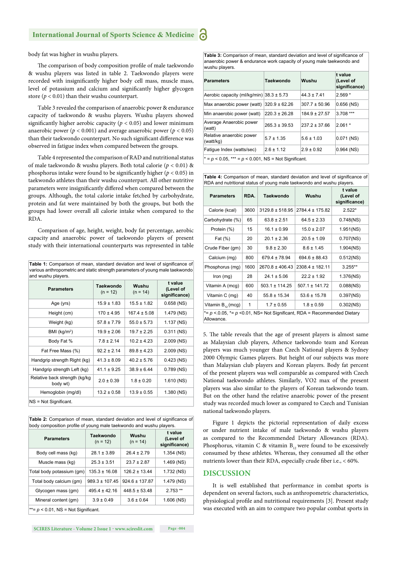

body fat was higher in wushu players.

The comparison of body composition profile of male taekwondo & wushu players was listed in table 2. Taekwondo players were recorded with insignificantly higher body cell mass, muscle mass, level of potassium and calcium and significantly higher glycogen store  $(p < 0.01)$  than their wushu counterpart.

Table 3 revealed the comparison of anaerobic power & endurance capacity of taekwondo & wushu players. Wushu players showed significantly higher aerobic capacity ( $p < 0.05$ ) and lower minimum anaerobic power ( $p < 0.001$ ) and average anaerobic power ( $p < 0.05$ ) than their taekwondo counterpart. No such significant difference was observed in fatigue index when compared between the groups.

Table 4 represented the comparison of RAD and nutritional status of male taekwondo & wushu players. Both total calorie (*p* < 0.01) & phosphorus intake were found to be significantly higher ( $p < 0.05$ ) in taekwondo athletes than their wushu counterpart. All other nutritive parameters were insignificantly differed when compared between the groups. Although, the total calorie intake fetched by carbohydrate, protein and fat were maintained by both the groups, but both the groups had lower overall all calorie intake when compared to the RDA.

Comparison of age, height, weight, body fat percentage, aerobic capacity and anaerobic power of taekwondo players of present study with their international counterparts was represented in table

**Table 1:** Comparison of mean, standard deviation and level of significance of various anthropometric and static strength parameters of young male taekwondo and wushu players

| <b>Parameters</b>                          | <b>Taekwondo</b><br>$(n = 12)$ | Wushu<br>$(n = 14)$ | t value<br>(Level of<br>significance) |  |  |  |
|--------------------------------------------|--------------------------------|---------------------|---------------------------------------|--|--|--|
| Age (yrs)                                  | $15.9 \pm 1.83$                | $15.5 \pm 1.82$     | $0.658$ (NS)                          |  |  |  |
| Height (cm)                                | $170 \pm 4.95$                 | $167.4 \pm 5.08$    | 1.479 (NS)                            |  |  |  |
| Weight (kg)                                | $57.8 \pm 7.79$                | $55.0 \pm 5.73$     | 1.137 (NS)                            |  |  |  |
| BMI (kg/m <sup>2</sup> )                   | $19.9 \pm 2.06$                | $19.7 \pm 2.25$     | $0.311$ (NS)                          |  |  |  |
| Body Fat %                                 | $7.8 \pm 2.14$                 | $10.2 \pm 4.23$     | 2.009 (NS)                            |  |  |  |
| Fat Free Mass (%)                          | $92.2 \pm 2.14$                | $89.8 \pm 4.23$     | 2.009 (NS)                            |  |  |  |
| Handgrip strength Right (kg)               | $41.3 \pm 8.09$                | $40.2 \pm 5.76$     | $0.423$ (NS)                          |  |  |  |
| Handgrip strength Left (kg)                | $41.1 \pm 9.25$                | $38.9 \pm 6.44$     | $0.789$ (NS)                          |  |  |  |
| Relative back strength (kg/kg)<br>body wt) | $2.0 \pm 0.39$                 | $1.8 \pm 0.20$      | 1.610 (NS)                            |  |  |  |
| Hemoglobin (mg/dl)                         | $13.2 \pm 0.58$                | $13.9 \pm 0.55$     | 1.380 (NS)                            |  |  |  |
| NS = Not Significant.                      |                                |                     |                                       |  |  |  |

| <b>Table 2:</b> Comparison of mean, standard deviation and level of significance of |  |
|-------------------------------------------------------------------------------------|--|
| body composition profile of young male taekwondo and wushu players.                 |  |

| <b>Parameters</b>                     | Taekwondo<br>$(n = 12)$ | Wushu<br>$(n = 14)$ | t value<br>(Level of<br>significance) |  |
|---------------------------------------|-------------------------|---------------------|---------------------------------------|--|
| Body cell mass (kg)                   | $28.1 \pm 3.89$         | $26.4 \pm 2.79$     | 1.354 (NS)                            |  |
| Muscle mass (kg)                      | $25.3 \pm 3.51$         | $23.7 \pm 2.87$     | 1.469 (NS)                            |  |
| Total body potassium (gm)             | $135.3 \pm 16.08$       | $126.2 \pm 13.44$   | 1.732 (NS)                            |  |
| Total body calcium (gm)               | $989.3 \pm 107.45$      | $924.6 \pm 137.87$  | 1.479 (NS)                            |  |
| Glycogen mass (gm)                    | $495.4 \pm 42.16$       | $448.5 \pm 53.48$   | $2.753**$                             |  |
| Mineral content (gm)                  | $3.9 \pm 0.49$          | $3.6 \pm 0.64$      | $1.606$ (NS)                          |  |
| **= $p$ < 0.01, NS = Not Significant. |                         |                     |                                       |  |

**SCIRES Literature - Volume 2 Issue 1 - www.scireslit.com Page -004**

**Table 3:** Comparison of mean, standard deviation and level of significance of anaerobic power & endurance work capacity of young male taekwondo and wushu players.

| <b>Parameters</b>                                         | Taekwondo         | Wushu             | t value<br>(Level of<br>significance) |  |
|-----------------------------------------------------------|-------------------|-------------------|---------------------------------------|--|
| Aerobic capacity (ml/kg/min) $38.3 \pm 5.73$              |                   | $44.3 \pm 7.41$   | $2.569*$                              |  |
| Max anaerobic power (watt)                                | $320.9 \pm 62.26$ | $307.7 \pm 50.96$ | $0.656$ (NS)                          |  |
| Min anaerobic power (watt)                                | $220.3 \pm 26.28$ | $184.9 \pm 27.57$ | $3.708$ ***                           |  |
| Average Anaerobic power<br>(watt)                         | $265.3 \pm 39.53$ | $237.2 \pm 37.66$ | $2.061*$                              |  |
| Relative anaerobic power<br>(watt/kg)                     | $5.7 \pm 1.35$    | $5.6 \pm 1.03$    | $0.071$ (NS)                          |  |
| Fatique Index (watts/sec)                                 | $2.6 \pm 1.12$    | $2.9 \pm 0.92$    | $0.964$ (NS)                          |  |
| $* = p < 0.05$ , $** = p < 0.001$ , NS = Not Significant. |                   |                   |                                       |  |

**Table 4:** Comparison of mean, standard deviation and level of significance of RDA and nutritional status of young male taekwondo and wushu players.

| <b>Parameters</b>                                                                           | RDA. | Taekwondo           | Wushu              | t value<br>(Level of<br>significance) |  |
|---------------------------------------------------------------------------------------------|------|---------------------|--------------------|---------------------------------------|--|
| Calorie (kcal)                                                                              | 3600 | $3129.8 \pm 518.95$ | 2784.4 ± 175.82    | $2.522*$                              |  |
| Carbohydrate (%)                                                                            | 65   | $63.8 \pm 2.51$     | $64.5 \pm 2.33$    | $0.748$ (NS)                          |  |
| Protein (%)                                                                                 | 15   | $16.1 \pm 0.99$     | $15.0 \pm 2.07$    | 1.951(NS)                             |  |
| Fat (%)                                                                                     | 20   | $20.1 \pm 2.36$     | $20.5 \pm 1.09$    | $0.707$ (NS)                          |  |
| Crude Fiber (gm)                                                                            | 30   | $9.8 \pm 2.30$      | $8.6 \pm 1.45$     | 1.904(NS)                             |  |
| Calcium (mg)                                                                                | 800  | $679.4 \pm 78.94$   | $694.6 \pm 88.43$  | $0.512$ (NS)                          |  |
| Phosphorus (mg)                                                                             | 1600 | $2670.8 \pm 406.43$ | 2308.4 ± 182.11    | $3.255**$                             |  |
| Iron $(mg)$                                                                                 | 28   | $24.1 \pm 5.06$     | $22.2 \pm 1.92$    | 1.376(NS)                             |  |
| Vitamin A (mcg)                                                                             | 600  | $503.1 \pm 114.25$  | $507.1 \pm 141.72$ | $0.088$ (NS)                          |  |
| Vitamin C (mg)                                                                              | 40   | $55.8 \pm 15.34$    | $53.6 \pm 15.78$   | $0.397$ (NS)                          |  |
| Vitamin $B_{12}$ (mcg)                                                                      | 1    | $1.7 \pm 0.55$      | $1.8 \pm 0.59$     | $0.302$ (NS)                          |  |
| *= $p$ < 0.05, *= $p$ < 0.01, NS = Not Significant, RDA = Recommended Dietary<br>Allowance. |      |                     |                    |                                       |  |

5. The table reveals that the age of present players is almost same as Malaysian club players, Athence taekwondo team and Korean players was much younger than Czech National players & Sydney 2000 Olympic Games players. But height of our subjects was more than Malaysian club players and Korean players. Body fat percent of the present players was well comparable as compared with Czech National taekwondo athletes. Similarly, VO2 max of the present players was also similar to the players of Korean taekwondo team. But on the other hand the relative anaerobic power of the present study was recorded much lower as compared to Czech and Tunisian national taekwondo players.

Figure 1 depicts the pictorial representation of daily excess or under nutrient intake of male taekwondo & wushu players as compared to the Recommended Dietary Allowances (RDA). Phosphorus, vitamin C & vitamin  $B_{12}$  were found to be excessively consumed by these athletes. Whereas, they consumed all the other nutrients lower than their RDA, especially crude fiber i.e.,  $< 60\%$ .

#### **DISCUSSION**

It is well established that performance in combat sports is dependent on several factors, such as anthropometric characteristics, physiological profile and nutritional requirements [3]. Present study was executed with an aim to compare two popular combat sports in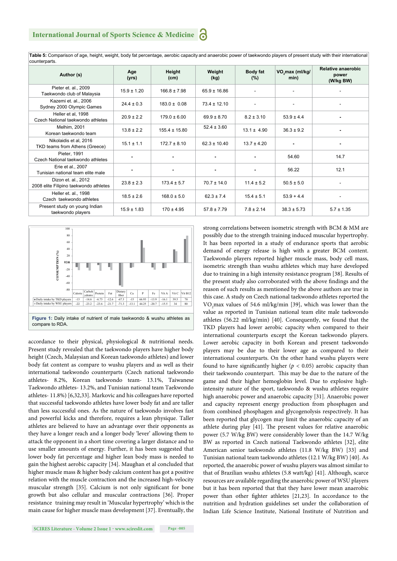| counterparts.                                                 |                 |                   |                  |                    |                                     |                                          |
|---------------------------------------------------------------|-----------------|-------------------|------------------|--------------------|-------------------------------------|------------------------------------------|
| Author (s)                                                    | Age<br>(yrs)    | Height<br>(cm)    | Weight<br>(kg)   | Body fat<br>$(\%)$ | VO <sub>2</sub> max (ml/kg/<br>min) | Relative anaerobic<br>power<br>(W/kg BW) |
| Pieter et. al., 2009<br>Taekwondo club of Malaysia            | $15.9 \pm 1.20$ | $166.8 \pm 7.98$  | $65.9 \pm 16.86$ |                    | ٠                                   |                                          |
| Kazemi et. al., 2006<br>Sydney 2000 Olympic Games             | $24.4 \pm 0.3$  | $183.0 \pm 0.08$  | $73.4 \pm 12.10$ |                    | $\overline{\phantom{a}}$            |                                          |
| Heller et al, 1998<br>Czech National taekwondo athletes       | $20.9 \pm 2.2$  | $179.0 \pm 6.00$  | $69.9 \pm 8.70$  | $8.2 \pm 3.10$     | $53.9 \pm 4.4$                      | ٠                                        |
| Melhim, 2001<br>Korean taekwondo team                         | $13.8 \pm 2.2$  | $155.4 \pm 15.80$ | $52.4 \pm 3.60$  | $13.1 \pm 4.90$    | $36.3 \pm 9.2$                      | ٠                                        |
| Nikolaidis et al, 2016<br>TKD teams from Athens (Greece)      | $15.1 \pm 1.1$  | $172.7 \pm 8.10$  | $62.3 \pm 10.40$ | $13.7 \pm 4.20$    | ٠                                   | ٠                                        |
| Pieter, 1991<br>Czech National taekwondo athletes             |                 |                   |                  |                    | 54.60                               | 14.7                                     |
| Erie et al., 2007<br>Tunisian national team elite male        |                 |                   |                  |                    | 56.22                               | 12.1                                     |
| Dizon et. al., 2012<br>2008 elite Filipino taekwondo athletes | $23.8 \pm 2.3$  | $173.4 \pm 5.7$   | $70.7 \pm 14.0$  | $11.4 \pm 5.2$     | $50.5 \pm 5.0$                      | ٠                                        |
| Heller et. al., 1998<br>Czech taekwondo athletes              | $18.5 \pm 2.6$  | $168.0 \pm 5.0$   | $62.3 \pm 7.4$   | $15.4 \pm 5.1$     | $53.9 + 4.4$                        | $\overline{\phantom{0}}$                 |
| Present study on young Indian<br>taekwondo players            | $15.9 \pm 1.83$ | $170 \pm 4.95$    | $57.8 \pm 7.79$  | $7.8 \pm 2.14$     | $38.3 \pm 5.73$                     | $5.7 \pm 1.35$                           |

**Table 5:** Comparison of age, height, weight, body fat percentage, aerobic capacity and anaerobic power of taekwondo players of present study with their international counterparts.



accordance to their physical, physiological & nutritional needs. Present study revealed that the taekwondo players have higher body height (Czech, Malaysian and Korean taekwondo athletes) and lower body fat content as compare to wushu players and as well as their international taekwondo counterparts (Czech national taekwondo athletes- 8.2%, Korean taekwondo team- 13.1%, Taiwanese Taekwondo athletes- 13.2%, and Tunisian national team Taekwondo athletes- 11.8%) [6,32,33]. Markovic and his colleagues have reported that successful taekwondo athletes have lower body fat and are taller than less successful ones. As the nature of taekwondo involves fast and powerful kicks and therefore, requires a lean physique. Taller athletes are believed to have an advantage over their opponents as they have a longer reach and a longer body 'lever' allowing them to attack the opponent in a short time covering a larger distance and to use smaller amounts of energy. Further, it has been suggested that lower body fat percentage and higher lean body mass is needed to gain the highest aerobic capacity [34]. Maughan et al concluded that higher muscle mass & higher body calcium content has got a positive relation with the muscle contraction and the increased high-velocity muscular strength [35]. Calcium is not only significant for bone growth but also cellular and muscular contractions [36]. Proper resistance training may result in 'Muscular hypertrophy' which is the main cause for higher muscle mass development [37]. Eventually, the

**SCIRES Literature - Volume 2 Issue 1 - www.scireslit.com Page -005**

strong correlations between isometric strength with BCM & MM are possibly due to the strength training induced muscular hypertrophy. It has been reported in a study of endurance sports that aerobic demand of energy release is high with a greater BCM content. Taekwondo players reported higher muscle mass, body cell mass, isometric strength than wushu athletes which may have developed due to training in a high intensity resistance program [38]. Results of the present study also corroborated with the above findings and the reason of such results as mentioned by the above authors are true in this case. A study on Czech national taekwondo athletes reported the VO<sub>2</sub> max values of 54.6 ml/kg/min [39], which was lower than the value as reported in Tunisian national team elite male taekwondo athletes (56.22 ml/kg/min) [40]. Consequently, we found that the TKD players had lower aerobic capacity when compared to their international counterparts except the Korean taekwondo players. Lower aerobic capacity in both Korean and present taekwondo players may be due to their lower age as compared to their international counterparts. On the other hand wushu players were found to have significantly higher ( $p < 0.05$ ) aerobic capacity than their taekwondo counterpart. This may be due to the nature of the game and their higher hemoglobin level. Due to explosive highintensity nature of the sport, taekwondo & wushu athletes require high anaerobic power and anaerobic capacity [31]. Anaerobic power and capacity represent energy production from phosphagen and from combined phosphagen and glycogenolysis respectively. It has been reported that glycogen may limit the anaerobic capacity of an athlete during play [41]. The present values for relative anaerobic power (5.7 W/kg BW) were considerably lower than the 14.7 W/kg BW as reported in Czech national Taekwondo athletes [32], elite American senior taekwondo athletes (11.8 W/kg BW) [33] and Tunisian national team taekwondo athletes (12.1 W/kg BW) [40]. As reported, the anaerobic power of wushu players was almost similar to that of Brazilian wushu athletes (5.8 watt/kg) [41]. Although, scarce resources are available regarding the anaerobic power of WSU players but it has been reported that that they have lower mean anaerobic power than other fighter athletes [21,23]. In accordance to the nutrition and hydration guidelines set under the collaboration of Indian Life Science Institute, National Institute of Nutrition and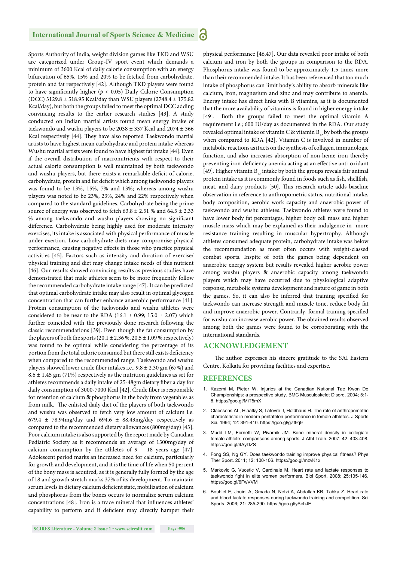#### **International Journal of Sports Science & Medicine**

Sports Authority of India, weight division games like TKD and WSU are categorized under Group-IV sport event which demands a minimum of 3600 Kcal of daily calorie consumption with an energy bifurcation of 65%, 15% and 20% to be fetched from carbohydrate, protein and fat respectively [42]. Although TKD players were found to have significantly higher ( $p < 0.05$ ) Daily Calorie Consumption (DCC) 3129.8 ± 518.95 Kcal/day than WSU players (2748.4 ± 175.82 Kcal/day), but both the groups failed to meet the optimal DCC adding convincing results to the earlier research studies [43]. A study conducted on Indian martial artists found mean energy intake of taekwondo and wushu players to be  $2038 \pm 337$  Kcal and  $2074 \pm 366$ Kcal respectively [44]. They have also reported Taekwondo martial artists to have highest mean carbohydrate and protein intake whereas Wushu martial artists were found to have highest fat intake [44]. Even if the overall distribution of macronutrients with respect to their actual calorie consumption is well maintained by both taekwondo and wushu players, but there exists a remarkable deficit of calorie, carbohydrate, protein and fat deficit which among taekwondo players was found to be 13%, 15%, 7% and 13%; whereas among wushu players was noted to be 23%, 23%, 24% and 22% respectively when compared to the standard guidelines. Carbohydrate being the prime source of energy was observed to fetch  $63.8 \pm 2.51$  % and  $64.5 \pm 2.33$ % among taekwondo and wushu players showing no significant difference. Carbohydrate being highly used for moderate intensity exercises, its intake is associated with physical performance of muscle under exertion. Low-carbohydrate diets may compromise physical performance, causing negative effects in those who practice physical activities [45]. Factors such as intensity and duration of exercise/ physical training and diet may change intake needs of this nutrient [46]. Our results showed convincing results as previous studies have demonstrated that male athletes seem to be more frequently follow the recommended carbohydrate intake range [47]. It can be predicted that optimal carbohydrate intake may also result in optimal glycogen concentration that can further enhance anaerobic performance [41]. Protein consumption of the taekwondo and wushu athletes were considered to be near to the RDA (16.1  $\pm$  0.99; 15.0  $\pm$  2.07) which further coincided with the previously done research following the classic recommendations [39]. Even though the fat consumption by the players of both the sports ( $20.1 \pm 2.36$ %,  $20.5 \pm 1.09$ % respectively) was found to be optimal while considering the percentage of its portion from the total calorie consumed but there still exists deficiency when compared to the recommended range. Taekwondo and wushu players showed lower crude fiber intakes i.e.,  $9.8 \pm 2.30$  gm (67%) and  $8.6 \pm 1.45$  gm (71%) respectively as the nutrition guidelines as set for athletes recommends a daily intake of 25-48gm dietary fiber a day for daily consumption of 3000-7000 Kcal [42]. Crude fiber is responsible for retention of calcium & phosphorus in the body from vegetables as from milk. The enlisted daily diet of the players of both taekwondo and wushu was observed to fetch very low amount of calcium i.e. 679.4  $\pm$  78.94mg/day and 694.6  $\pm$  88.43mg/day respectively as compared to the recommended dietary allowances (800mg/day) [43]. Poor calcium intake is also supported by the report made by Canadian Pediatric Society as it recommends an average of 1300mg/day of calcium consumption by the athletes of 9 – 18 years age [47]. Adolescent period marks an increased need for calcium, particularly for growth and development, and it is the time of life when 50 percent of the bony mass is acquired, as it is generally fully formed by the age of 18 and growth stretch marks 37% of its development. To maintain serum levels in dietary calcium deficient state, mobilization of calcium and phosphorus from the bones occurs to normalize serum calcium concentrations [48]. Iron is a trace mineral that influences athletes' capability to perform and if deficient may directly hamper their physical performance [46,47]. Our data revealed poor intake of both calcium and iron by both the groups in comparison to the RDA. Phosphorus intake was found to be approximately 1.5 times more than their recommended intake. It has been referenced that too much intake of phosphorus can limit body's ability to absorb minerals like calcium, iron, magnesium and zinc and may contribute to anemia. Energy intake has direct links with B vitamins, as it is documented that the more availability of vitamins is found in higher energy intake [49]. Both the groups failed to meet the optimal vitamin A requirement i.e.; 600 IU/day as documented in the RDA. Our study revealed optimal intake of vitamin C & vitamin  $B_{12}$  by both the groups when compared to RDA [42]. Vitamin C is involved in number of metabolic reactions as it acts on the synthesis of collagen, immunologic function, and also increases absorption of non-heme iron thereby preventing iron-deficiency anemia acting as an effective anti-oxidant [49]. Higher vitamin  $B_{12}$  intake by both the groups reveals fair animal protein intake as it is commonly found in foods such as fish, shellfish, meat, and dairy products [50]. This research article adds baseline observation in reference to anthropometric status, nutritional intake, body composition, aerobic work capacity and anaerobic power of taekwondo and wushu athletes. Taekwondo athletes were found to have lower body fat percentages, higher body cell mass and higher muscle mass which may be explained as their indulgence in more resistance training resulting in muscular hypertrophy. Although athletes consumed adequate protein, carbohydrate intake was below the recommendation as most often occurs with weight-classed combat sports. Inspite of both the games being dependent on anaerobic energy system but results revealed higher aerobic power among wushu players & anaerobic capacity among taekwondo players which may have occurred due to physiological adaptive response, metabolic systems development and nature of game in both the games. So, it can also be inferred that training specified for taekwondo can increase strength and muscle tone, reduce body fat and improve anaerobic power. Contrarily, formal training specified for wushu can increase aerobic power. The obtained results observed among both the games were found to be corroborating with the international standards.

#### **ACKNOWLEDGEMENT**

The author expresses his sincere gratitude to the SAI Eastern Centre, Kolkata for providing facilities and expertise.

#### **REFERENCES**

- 1. Kazemi M, Pieter W. Injuries at the Canadian National Tae Kwon Do Championships: a prospective study. BMC Musculoskelet Disord. 2004; 5:1- 8. https://goo.gl/MiT5mX
- 2. Claessens AL, Hlaatky S, Lafevre J, Holdhaus H. The role of anthropometric characteristic in modern pentathlon performance in female athletes. J Sports Sci. 1994; 12: 391-410. https://goo.gl/gZf9q9
- 3. Mudd LM, Fornetti W, Pivarnik JM. Bone mineral density in collegiate female athlete: comparisons among sports. J Athl Train. 2007; 42: 403-408. https://goo.gl/4AyDZS
- 4. Fong SS, Ng GY. Does taekwondo training improve physical fitness? Phys Ther Sport. 2011; 12: 100-106. https://goo.gl/mzvK1x
- 5. Markovic G, Vucetic V, Cardinale M. Heart rate and lactate responses to taekwondo fight in elite women performers. Biol Sport. 2008; 25:135-146. https://goo.gl/6FwVVM
- 6. Bouhlel E, Jouini A, Gmada N, Nefzi A, Abdallah KB, Tabka Z. Heart rate and blood lactate responses during taekwondo training and competition. Sci Sports. 2006; 21: 285-290. https://goo.gl/ySehJE